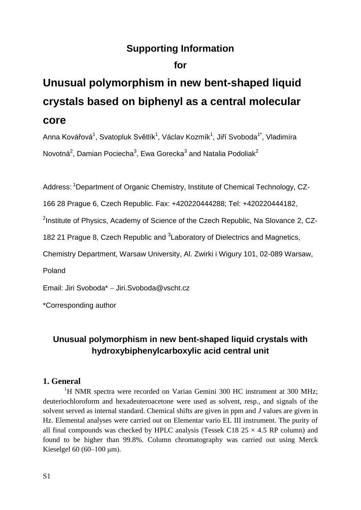# **Supporting Information**

# **for**

# **Unusual polymorphism in new bent-shaped liquid crystals based on biphenyl as a central molecular core**

Anna Kovářová<sup>1</sup>, Svatopluk Světlík<sup>1</sup>, Václav Kozmík<sup>1</sup>, Jiří Svoboda<sup>1\*</sup>, Vladimíra Novotná<sup>2</sup>, Damian Pociecha<sup>3</sup>, Ewa Gorecka<sup>3</sup> and Natalia Podoliak<sup>2</sup>

Address: <sup>1</sup>Department of Organic Chemistry, Institute of Chemical Technology, CZ-

166 28 Prague 6, Czech Republic. Fax: +420220444288; Tel: +420220444182,

<sup>2</sup>Institute of Physics, Academy of Science of the Czech Republic, Na Slovance 2, CZ-

182 21 Prague 8, Czech Republic and <sup>3</sup> Laboratory of Dielectrics and Magnetics,

Chemistry Department, Warsaw University, Al. Zwirki i Wigury 101, 02-089 Warsaw,

Poland

Email: Jiri Svoboda\* Jiri.Svoboda@vscht.cz

\*Corresponding author

# **Unusual polymorphism in new bent-shaped liquid crystals with hydroxybiphenylcarboxylic acid central unit**

# **1. General**

<sup>1</sup>H NMR spectra were recorded on Varian Gemini 300 HC instrument at 300 MHz; deuteriochloroform and hexadeuteroacetone were used as solvent, resp., and signals of the solvent served as internal standard. Chemical shifts are given in ppm and *J* values are given in Hz. Elemental analyses were carried out on Elementar vario EL III instrument. The purity of all final compounds was checked by HPLC analysis (Tessek C18  $25 \times 4.5$  RP column) and found to be higher than 99.8%. Column chromatography was carried out using Merck Kieselgel 60 (60–100  $\mu$ m).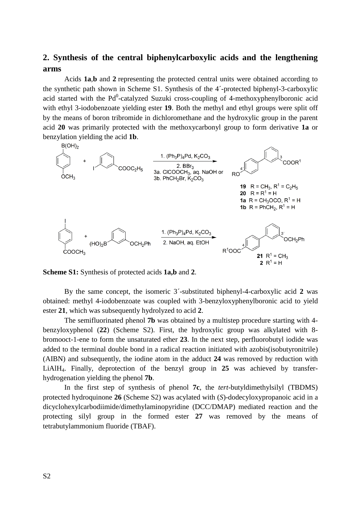# **2. Synthesis of the central biphenylcarboxylic acids and the lengthening arms**

Acids **1a**,**b** and **2** representing the protected central units were obtained according to the synthetic path shown in Scheme S1. Synthesis of the 4´-protected biphenyl-3-carboxylic acid started with the  $Pd^0$ -catalyzed Suzuki cross-coupling of 4-methoxyphenylboronic acid with ethyl 3-iodobenzoate yielding ester **19**. Both the methyl and ethyl groups were split off by the means of boron tribromide in dichloromethane and the hydroxylic group in the parent acid **20** was primarily protected with the methoxycarbonyl group to form derivative **1a** or benzylation yielding the acid **1b**.



**Scheme S1:** Synthesis of protected acids **1a,b** and **2**.

By the same concept, the isomeric 3´-substituted biphenyl-4-carboxylic acid **2** was obtained: methyl 4-iodobenzoate was coupled with 3-benzyloxyphenylboronic acid to yield ester **21**, which was subsequently hydrolyzed to acid **2**.

The semifluorinated phenol **7b** was obtained by a multistep procedure starting with 4 benzyloxyphenol (**22**) (Scheme S2). First, the hydroxylic group was alkylated with 8 bromooct-1-ene to form the unsaturated ether **23**. In the next step, perfluorobutyl iodide was added to the terminal double bond in a radical reaction initiated with azobis(isobutyronitrile) (AIBN) and subsequently, the iodine atom in the adduct **24** was removed by reduction with LiAlH4. Finally, deprotection of the benzyl group in **25** was achieved by transferhydrogenation yielding the phenol **7b**.

In the first step of synthesis of phenol **7c**, the *tert*-butyldimethylsilyl (TBDMS) protected hydroquinone **26** (Scheme S2) was acylated with (*S*)-dodecyloxypropanoic acid in a dicyclohexylcarbodiimide/dimethylaminopyridine (DCC/DMAP) mediated reaction and the protecting silyl group in the formed ester **27** was removed by the means of tetrabutylammonium fluoride (TBAF).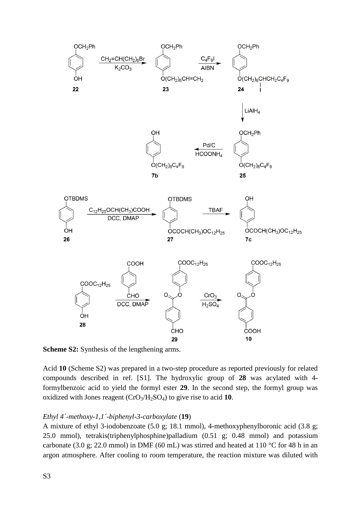

**Scheme S2:** Synthesis of the lengthening arms.

Acid **10** (Scheme S2) was prepared in a two-step procedure as reported previously for related compounds described in ref. [S1]. The hydroxylic group of **28** was acylated with 4 formylbenzoic acid to yield the formyl ester **29**. In the second step, the formyl group was oxidized with Jones reagent (CrO3/H2SO4) to give rise to acid **10**.

# *Ethyl 4´-methoxy-1,1´-biphenyl-3-carboxylate* (**19**)

A mixture of ethyl 3-iodobenzoate (5.0 g; 18.1 mmol), 4-methoxyphenylboronic acid (3.8 g; 25.0 mmol), tetrakis(triphenylphosphine)palladium (0.51 g; 0.48 mmol) and potassium carbonate (3.0 g; 22.0 mmol) in DMF (60 mL) was stirred and heated at 110 °C for 48 h in an argon atmosphere. After cooling to room temperature, the reaction mixture was diluted with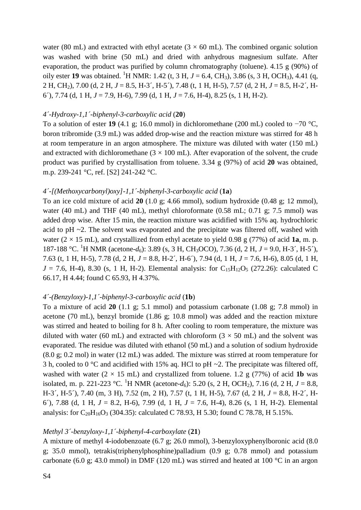water (80 mL) and extracted with ethyl acetate ( $3 \times 60$  mL). The combined organic solution was washed with brine (50 mL) and dried with anhydrous magnesium sulfate. After evaporation, the product was purified by column chromatography (toluene). 4.15 g (90%) of oily ester 19 was obtained. <sup>1</sup>H NMR: 1.42 (t, 3 H,  $J = 6.4$ , CH<sub>3</sub>), 3.86 (s, 3 H, OCH<sub>3</sub>), 4.41 (q, 2 H, CH2), 7.00 (d, 2 H, *J* = 8.5, H-3´, H-5´), 7.48 (t, 1 H, H-5), 7.57 (d, 2 H, *J* = 8.5, H-2´, H-6´), 7.74 (d, 1 H, *J* = 7.9, H-6), 7.99 (d, 1 H, *J* = 7.6, H-4), 8.25 (s, 1 H, H-2).

#### *4´-Hydroxy-1,1´-biphenyl-3-carboxylic acid* (**20**)

To a solution of ester **19** (4.1 g; 16.0 mmol) in dichloromethane (200 mL) cooled to −70 °C, boron tribromide (3.9 mL) was added drop-wise and the reaction mixture was stirred for 48 h at room temperature in an argon atmosphere. The mixture was diluted with water (150 mL) and extracted with dichloromethane  $(3 \times 100 \text{ mL})$ . After evaporation of the solvent, the crude product was purified by crystallisation from toluene. 3.34 g (97%) of acid **20** was obtained, m.p. 239-241 °C, ref. [S2] 241-242 °C.

### *4´-[(Methoxycarbonyl)oxy]-1,1´-biphenyl-3-carboxylic acid* (**1a**)

To an ice cold mixture of acid **20** (1.0 g; 4.66 mmol), sodium hydroxide (0.48 g; 12 mmol), water (40 mL) and THF (40 mL), methyl chloroformate (0.58 mL; 0.71 g; 7.5 mmol) was added drop wise. After 15 min, the reaction mixture was acidified with 15% aq. hydrochloric acid to pH  $\sim$ 2. The solvent was evaporated and the precipitate was filtered off, washed with water  $(2 \times 15 \text{ mL})$ , and crystallized from ethyl acetate to yield 0.98 g (77%) of acid **1a**, m. p. 187-188 °C. <sup>1</sup>H NMR (acetone-*d*6): 3.89 (s, 3 H, CH3OCO), 7.36 (d, 2 H, *J* = 9.0, H-3´, H-5´), 7.63 (t, 1 H, H-5), 7.78 (d, 2 H, *J* = 8.8, H-2´, H-6´), 7.94 (d, 1 H, *J* = 7.6, H-6), 8.05 (d, 1 H,  $J = 7.6$ , H-4), 8.30 (s, 1 H, H-2). Elemental analysis: for C<sub>15</sub>H<sub>12</sub>O<sub>5</sub> (272.26): calculated C 66.17, H 4.44; found C 65.93, H 4.37%.

#### *4´-(Benzyloxy)-1,1´-biphenyl-3-carboxylic acid* (**1b**)

To a mixture of acid **20** (1.1 g; 5.1 mmol) and potassium carbonate (1.08 g; 7.8 mmol) in acetone (70 mL), benzyl bromide (1.86 g; 10.8 mmol) was added and the reaction mixture was stirred and heated to boiling for 8 h. After cooling to room temperature, the mixture was diluted with water (60 mL) and extracted with chloroform ( $3 \times 50$  mL) and the solvent was evaporated. The residue was diluted with ethanol (50 mL) and a solution of sodium hydroxide (8.0 g; 0.2 mol) in water (12 mL) was added. The mixture was stirred at room temperature for 3 h, cooled to 0  $\degree$ C and acidified with 15% aq. HCl to pH  $\sim$ 2. The precipitate was filtered off, washed with water  $(2 \times 15 \text{ mL})$  and crystallized from toluene. 1.2 g (77%) of acid **1b** was isolated, m. p. 221-223 °C. <sup>1</sup>H NMR (acetone- $d_6$ ): 5.20 (s, 2 H, OCH<sub>2</sub>), 7.16 (d, 2 H,  $J = 8.8$ , H-3´, H-5´), 7.40 (m, 3 H), 7.52 (m, 2 H), 7.57 (t, 1 H, H-5), 7.67 (d, 2 H, *J* = 8.8, H-2´, H-6´), 7.88 (d, 1 H, *J* = 8.2, H-6), 7.99 (d, 1 H, *J* = 7.6, H-4), 8.26 (s, 1 H, H-2). Elemental analysis: for  $C_{20}H_{16}O_3$  (304.35): calculated C 78.93, H 5.30; found C 78.78, H 5.15%.

#### *Methyl 3´-benzyloxy-1,1´-biphenyl-4-carboxylate* (**21**)

A mixture of methyl 4-iodobenzoate (6.7 g; 26.0 mmol), 3-benzyloxyphenylboronic acid (8.0 g; 35.0 mmol), tetrakis(triphenylphosphine)palladium (0.9 g; 0.78 mmol) and potassium carbonate (6.0 g; 43.0 mmol) in DMF (120 mL) was stirred and heated at 100 °C in an argon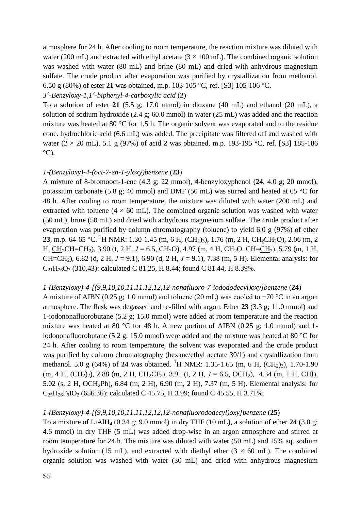atmosphere for 24 h. After cooling to room temperature, the reaction mixture was diluted with water (200 mL) and extracted with ethyl acetate  $(3 \times 100 \text{ mL})$ . The combined organic solution was washed with water (80 mL) and brine (80 mL) and dried with anhydrous magnesium sulfate. The crude product after evaporation was purified by crystallization from methanol. 6.50 g (80%) of ester **21** was obtained, m.p. 103-105 °C, ref. [S3] 105-106 °C.

# *3´-Benzyloxy-1,1´-biphenyl-4-carboxylic acid* (**2**)

To a solution of ester **21** (5.5 g; 17.0 mmol) in dioxane (40 mL) and ethanol (20 mL), a solution of sodium hydroxide (2.4 g; 60.0 mmol) in water (25 mL) was added and the reaction mixture was heated at 80 °C for 1.5 h. The organic solvent was evaporated and to the residue conc. hydrochloric acid (6.6 mL) was added. The precipitate was filtered off and washed with water (2 × 20 mL). 5.1 g (97%) of acid **2** was obtained, m.p. 193-195 °C, ref. [S3] 185-186  $^{\circ}$ C).

# *1-(Benzyloxy)-4-(oct-7-en-1-yloxy)benzene* (**23**)

A mixture of 8-bromooct-1-ene (4.3 g; 22 mmol), 4-benzyloxyphenol (**24**, 4.0 g; 20 mmol), potassium carbonate (5.8 g; 40 mmol) and DMF (50 mL) was stirred and heated at 65 °C for 48 h. After cooling to room temperature, the mixture was diluted with water (200 mL) and extracted with toluene ( $4 \times 60$  mL). The combined organic solution was washed with water (50 mL), brine (50 mL) and dried with anhydrous magnesium sulfate. The crude product after evaporation was purified by column chromatography (toluene) to yield 6.0 g (97%) of ether **23**, m.p. 64-65 °C. <sup>1</sup>H NMR: 1.30-1.45 (m, 6 H, (CH<sub>2</sub>)<sub>3</sub>), 1.76 (m, 2 H, CH<sub>2</sub>CH<sub>2</sub>O), 2.06 (m, 2 H, CH<sub>2</sub>CH=CH<sub>2</sub>), 3.90 (t, 2 H, *J* = 6.5, CH<sub>2</sub>O), 4.97 (m, 4 H, CH<sub>2</sub>O, CH=CH<sub>2</sub>), 5.79 (m, 1 H, CH=CH<sub>2</sub>), 6.82 (d, 2 H,  $J = 9.1$ ), 6.90 (d, 2 H,  $J = 9.1$ ), 7.38 (m, 5 H). Elemental analysis: for  $C_{21}H_{26}O_2$  (310.43): calculated C 81.25, H 8.44; found C 81.44, H 8.39%.

# *1-(Benzyloxy)-4-[(9,9,10,10,11,11,12,12,12-nonafluoro-7-iodododecyl)oxy]benzene* (**24**)

A mixture of AIBN (0.25 g; 1.0 mmol) and toluene (20 mL) was cooled to −70 °C in an argon atmosphere. The flask was degassed and re-filled with argon. Ether **23** (3.3 g; 11.0 mmol) and 1-iodononafluorobutane (5.2 g; 15.0 mmol) were added at room temperature and the reaction mixture was heated at 80 °C for 48 h. A new portion of AIBN (0.25 g; 1.0 mmol) and 1iodononafluorobutane (5.2 g; 15.0 mmol) were added and the mixture was heated at 80 °C for 24 h. After cooling to room temperature, the solvent was evaporated and the crude product was purified by column chromatography (hexane/ethyl acetate 30/1) and crystallization from methanol. 5.0 g (64%) of **24** was obtained. <sup>1</sup>H NMR: 1.35-1.65 (m, 6 H, (CH<sub>2</sub>)<sub>3</sub>), 1.70-1.90  $(m, 4 \text{ H}, (\text{CH}_2)_2)$ , 2.88  $(m, 2 \text{ H}, \text{CH}_2\text{CF}_2)$ , 3.91  $(t, 2 \text{ H}, J = 6.5, \text{ OCH}_2)$ , 4.34  $(m, 1 \text{ H}, \text{CHI})$ , 5.02 (s, 2 H, OCH2Ph), 6.84 (m, 2 H), 6.90 (m, 2 H), 7.37 (m, 5 H). Elemental analysis: for  $C_{25}H_{26}F_{9}IO_{2}$  (656.36): calculated C 45.75, H 3.99; found C 45.55, H 3.71%.

# *1-(Benzyloxy)-4-[(9,9,10,10,11,11,12,12,12-nonafluorododecyl)oxy]benzene* (**25**)

To a mixture of LiAlH<sub>4</sub> (0.34 g; 9.0 mmol) in dry THF (10 mL), a solution of ether 24 (3.0 g; 4.6 mmol) in dry THF (5 mL) was added drop-wise in an argon atmosphere and stirred at room temperature for 24 h. The mixture was diluted with water (50 mL) and 15% aq. sodium hydroxide solution (15 mL), and extracted with diethyl ether ( $3 \times 60$  mL). The combined organic solution was washed with water (30 mL) and dried with anhydrous magnesium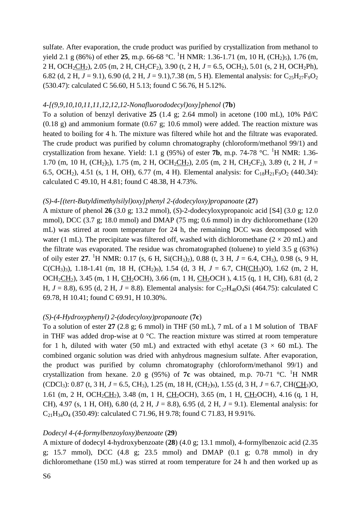sulfate. After evaporation, the crude product was purified by crystallization from methanol to yield 2.1 g (86%) of ether 25, m.p. 66-68 °C. <sup>1</sup>H NMR: 1.36-1.71 (m, 10 H, (CH<sub>2</sub>)<sub>5</sub>), 1.76 (m, 2 H, OCH<sub>2</sub>CH<sub>2</sub>), 2.05 (m, 2 H, CH<sub>2</sub>CF<sub>2</sub>), 3.90 (t, 2 H,  $J = 6.5$ , OCH<sub>2</sub>), 5.01 (s, 2 H, OCH<sub>2</sub>Ph), 6.82 (d, 2 H,  $J = 9.1$ ), 6.90 (d, 2 H,  $J = 9.1$ ), 7.38 (m, 5 H). Elemental analysis: for C<sub>25</sub>H<sub>27</sub>F<sub>9</sub>O<sub>2</sub> (530.47): calculated C 56.60, H 5.13; found C 56.76, H 5.12%.

### *4-[(9,9,10,10,11,11,12,12,12-Nonafluorododecyl)oxy]phenol* (**7b**)

To a solution of benzyl derivative **25** (1.4 g; 2.64 mmol) in acetone (100 mL), 10% Pd/C  $(0.18 \text{ g})$  and ammonium formate  $(0.67 \text{ g}; 10.6 \text{ mmol})$  were added. The reaction mixture was heated to boiling for 4 h. The mixture was filtered while hot and the filtrate was evaporated. The crude product was purified by column chromatography (chloroform/methanol 99/1) and crystallization from hexane. Yield: 1.1 g (95%) of ester **7b**, m.p. 74-78 °C. <sup>1</sup>H NMR: 1.36-1.70 (m, 10 H,  $(CH_2)$ <sub>5</sub>), 1.75 (m, 2 H, OCH<sub>2</sub>CH<sub>2</sub>), 2.05 (m, 2 H, CH<sub>2</sub>CF<sub>2</sub>), 3.89 (t, 2 H, *J* = 6.5, OCH<sub>2</sub>), 4.51 (s, 1 H, OH), 6.77 (m, 4 H). Elemental analysis: for C<sub>18</sub>H<sub>21</sub>F<sub>9</sub>O<sub>2</sub> (440.34): calculated C 49.10, H 4.81; found C 48.38, H 4.73%.

#### *(S)-4-[(tert-Butyldimethylsilyl)oxy]phenyl 2-(dodecyloxy)propanoate* (**27**)

A mixture of phenol **26** (3.0 g; 13.2 mmol), (*S*)-2-dodecyloxypropanoic acid [S4] (3.0 g; 12.0 mmol), DCC (3.7 g; 18.0 mmol) and DMAP (75 mg; 0.6 mmol) in dry dichloromethane (120 mL) was stirred at room temperature for 24 h, the remaining DCC was decomposed with water (1 mL). The precipitate was filtered off, washed with dichloromethane ( $2 \times 20$  mL) and the filtrate was evaporated. The residue was chromatographed (toluene) to yield 3.5 g (63%) of oily ester **27**. <sup>1</sup>H NMR: 0.17 (s, 6 H, Si(CH3)2), 0.88 (t, 3 H, *J* = 6.4, CH3), 0.98 (s, 9 H, C(CH<sub>3</sub>)<sub>3</sub>), 1.18-1.41 (m, 18 H, (CH<sub>2</sub>)<sub>9</sub>), 1.54 (d, 3 H,  $J = 6.7$ , CH(CH<sub>3</sub>)O), 1.62 (m, 2 H, OCH<sub>2</sub>CH<sub>2</sub>), 3.45 (m, 1 H, CH<sub>2</sub>OCH), 3.66 (m, 1 H, CH<sub>2</sub>OCH), 4.15 (q, 1 H, CH), 6.81 (d, 2 H,  $J = 8.8$ ), 6.95 (d, 2 H,  $J = 8.8$ ). Elemental analysis: for C<sub>27</sub>H<sub>48</sub>O<sub>4</sub>Si (464.75): calculated C 69.78, H 10.41; found C 69.91, H 10.30%.

# *(S)-(4-Hydroxyphenyl) 2-(dodecyloxy)propanoate* (**7c**)

To a solution of ester **27** (2.8 g; 6 mmol) in THF (50 mL), 7 mL of a 1 M solution of TBAF in THF was added drop-wise at 0 °C. The reaction mixture was stirred at room temperature for 1 h, diluted with water (50 mL) and extracted with ethyl acetate ( $3 \times 60$  mL). The combined organic solution was dried with anhydrous magnesium sulfate. After evaporation, the product was purified by column chromatography (chloroform/methanol 99/1) and crystallization from hexane. 2.0 g (95%) of **7c** was obtained, m.p. 70-71  $\degree$ C. <sup>1</sup>H NMR  $(CDCI_3)$ : 0.87 (t, 3 H, *J* = 6.5, CH<sub>3</sub>), 1.25 (m, 18 H, (CH<sub>2</sub>)<sub>9</sub>), 1.55 (d, 3 H, *J* = 6.7, CH(CH<sub>3</sub>)O, 1.61 (m, 2 H, OCH<sub>2</sub>CH<sub>2</sub>), 3.48 (m, 1 H, CH<sub>2</sub>OCH), 3.65 (m, 1 H, CH<sub>2</sub>OCH), 4.16 (q, 1 H, CH), 4.97 (s, 1 H, OH), 6.80 (d, 2 H,  $J = 8.8$ ), 6.95 (d, 2 H,  $J = 9.1$ ). Elemental analysis: for  $C_{21}H_{34}O_4$  (350.49): calculated C 71.96, H 9.78; found C 71.83, H 9.91%.

#### *Dodecyl 4-(4-formylbenzoyloxy)benzoate* (**29**)

A mixture of dodecyl 4-hydroxybenzoate (**28**) (4.0 g; 13.1 mmol), 4-formylbenzoic acid (2.35 g; 15.7 mmol), DCC (4.8 g; 23.5 mmol) and DMAP (0.1 g; 0.78 mmol) in dry dichloromethane (150 mL) was stirred at room temperature for 24 h and then worked up as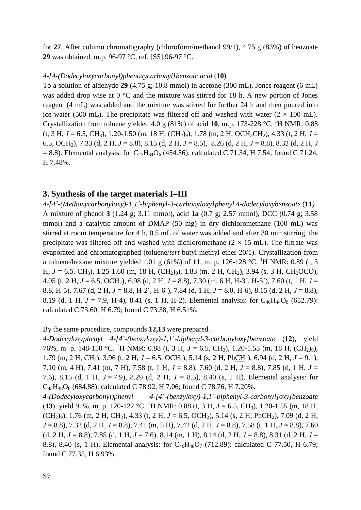for **27**. After column chromatography (chloroform/methanol 99/1), 4.75 g (83%) of benzoate **29** was obtained, m.p. 96-97 °C, ref. [S5] 96-97 °C.

#### *4-[4-(Dodecyloxycarbonyl)phenoxycarbonyl]benzoic acid* (**10**)

To a solution of aldehyde **29** (4.75 g; 10.8 mmol) in acetone (300 mL), Jones reagent (6 mL) was added drop wise at 0 °C and the mixture was stirred for 18 h. A new portion of Jones reagent (4 mL) was added and the mixture was stirred for further 24 h and then poured into ice water (500 mL). The precipitate was filtered off and washed with water ( $2 \times 100$  mL). Crystallization from toluene yielded 4.0 g  $(81\%)$  of acid 10, m.p. 173-228 °C. <sup>1</sup>H NMR: 0.88  $(t, 3 H, J = 6.5, CH_3)$ , 1.20-1.50 (m, 18 H, (CH<sub>2</sub>)<sub>9</sub>), 1.78 (m, 2 H, OCH<sub>2</sub>CH<sub>2</sub>), 4.33 (t, 2 H, *J* = 6.5, OCH2), 7.33 (d, 2 H, *J* = 8.8), 8.15 (d, 2 H, *J* = 8.5), 8.26 (d, 2 H, *J* = 8.8), 8.32 (d, 2 H, *J*  $= 8.8$ ). Elemental analysis: for C<sub>27</sub>H<sub>34</sub>O<sub>6</sub> (454.56): calculated C 71.34, H 7.54; found C 71.24, H 7.48%.

# **3. Synthesis of the target materials I–III**

*4-[4´-(Methoxycarbonyloxy)-1,1´-biphenyl-3-carbonyloxy]phenyl 4-dodecyloxybenzoate* (**11***)* A mixture of phenol **3** (1.24 g; 3.11 mmol), acid **1a** (0.7 g; 2.57 mmol), DCC (0.74 g; 3.58 mmol) and a catalytic amount of DMAP (50 mg) in dry dichloromethane (100 mL) was stirred at room temperature for 4 h, 0.5 mL of water was added and after 30 min stirring, the precipitate was filtered off and washed with dichloromethane  $(2 \times 15 \text{ mL})$ . The filtrate was evaporated and chromatographed (toluene/*tert*-butyl methyl ether 20/1). Crystallization from a toluene/hexane mixture yielded 1.01 g (61%) of 11, m. p. 126-128 °C. <sup>1</sup>H NMR: 0.89 (t, 3) H,  $J = 6.5$ , CH<sub>3</sub>), 1.25-1.60 (m, 18 H, (CH<sub>2</sub>)<sub>9</sub>), 1.83 (m, 2 H, CH<sub>2</sub>), 3.94 (s, 3 H, CH<sub>3</sub>OCO), 4.05 (t, 2 H, *J* = 6.5, OCH2), 6.98 (d, 2 H, *J* = 8.8), 7.30 (m, 6 H, H-3´, H-5´), 7.60 (t, 1 H, *J* = 8.8, H-5), 7.67 (d, 2 H, *J* = 8.8, H-2´, H-6´), 7.84 (d, 1 H, *J* = 8.0, H-6), 8.15 (d, 2 H, *J* = 8.8), 8.19 (d, 1 H,  $J = 7.9$ , H-4), 8.41 (s, 1 H, H-2). Elemental analysis: for C<sub>40</sub>H<sub>44</sub>O<sub>8</sub> (652.79): calculated C 73.60, H 6.79; found C 73.38, H 6.51%.

# By the same procedure, compounds **12,13** were prepared.

*4-Dodecyloxyphenyl 4-[4´-(benzyloxy)-1,1´-biphenyl-3-carbonyloxy]benzoate* (**12**), yield 76%, m. p. 148-150 °C. <sup>1</sup>H NMR: 0.88 (t, 3 H,  $J = 6.5$ , CH<sub>3</sub>), 1.20-1.55 (m, 18 H, (CH<sub>2</sub>)<sup>o</sup>), 1.79 (m, 2 H, CH<sub>2</sub>), 3.96 (t, 2 H,  $J = 6.5$ , OCH<sub>2</sub>), 5.14 (s, 2 H, PhCH<sub>2</sub>), 6.94 (d, 2 H,  $J = 9.1$ ), 7.10 (m, 4 H), 7.41 (m, 7 H), 7.58 (t, 1 H, *J* = 8.8), 7.60 (d, 2 H, *J* = 8.8), 7.85 (d, 1 H, *J* = 7.6), 8.15 (d, 1 H, *J* = 7.9), 8.29 (d, 2 H, *J* = 8.5), 8.40 (s, 1 H). Elemental analysis: for  $C_{45}H_{48}O_6$  (684.88): calculated C 78.92, H 7.06; found C 78.76, H 7.20%.

*4-(Dodecyloxycarbonyl)phenyl 4-[4´-(benzyloxy)-1,1´-biphenyl-3-carbonyl]oxy]benzoate*  (**13**), yield 91%, m. p. 120-122 °C. <sup>1</sup>H NMR: 0.88 (t, 3 H,  $J = 6.5$ , CH<sub>3</sub>), 1.20-1.55 (m, 18 H, (CH<sub>2</sub>)<sub>9</sub>), 1.76 (m, 2 H, CH<sub>2</sub>), 4.33 (t, 2 H,  $J = 6.5$ , OCH<sub>2</sub>), 5.14 (s, 2 H, PhCH<sub>2</sub>), 7.09 (d, 2 H, *J* = 8.8), 7.32 (d, 2 H, *J* = 8.8), 7.41 (m, 5 H), 7.42 (d, 2 H, *J* = 8.8), 7.58 (t, 1 H, *J* = 8.8), 7.60 (d, 2 H, *J* = 8.8), 7.85 (d, 1 H, *J* = 7.6), 8.14 (m, 1 H), 8.14 (d, 2 H, *J* = 8.8), 8.31 (d, 2 H, *J* = 8.8), 8.40 (s, 1 H). Elemental analysis: for C<sub>46</sub>H<sub>48</sub>O<sub>7</sub> (712.89): calculated C 77.50, H 6.79; found C 77.35, H 6.93%.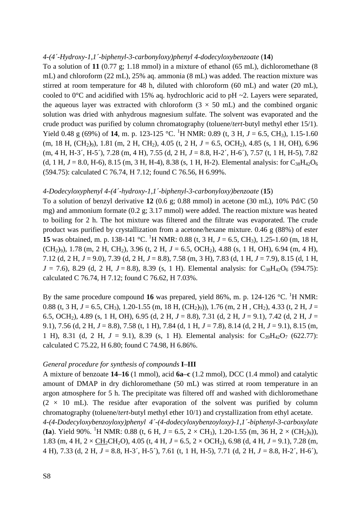#### *4-(4´-Hydroxy-1,1´-biphenyl-3-carbonyloxy)phenyl 4-dodecyloxybenzoate* (**14**)

To a solution of **11** (0.77 g; 1.18 mmol) in a mixture of ethanol (65 mL), dichloromethane (8 mL) and chloroform (22 mL), 25% aq. ammonia (8 mL) was added. The reaction mixture was stirred at room temperature for 48 h, diluted with chloroform (60 mL) and water (20 mL), cooled to  $0^{\circ}$ C and acidified with 15% aq. hydrochloric acid to pH  $\sim$ 2. Layers were separated, the aqueous layer was extracted with chloroform  $(3 \times 50 \text{ mL})$  and the combined organic solution was dried with anhydrous magnesium sulfate. The solvent was evaporated and the crude product was purified by column chromatography (toluene/*tert*-butyl methyl ether 15/1). Yield 0.48 g (69%) of 14, m. p. 123-125 °C. <sup>1</sup>H NMR: 0.89 (t, 3 H,  $J = 6.5$ , CH<sub>3</sub>), 1.15-1.60  $(m, 18$  H,  $(CH_2)_{9}$ , 1.81  $(m, 2$  H,  $CH_2)$ , 4.05  $(t, 2$  H,  $J = 6.5$ , OCH<sub>2</sub>), 4.85  $(s, 1$  H, OH), 6.96 (m, 4 H, H-3´, H-5´), 7.28 (m, 4 H), 7.55 (d, 2 H, *J* = 8.8, H-2´, H-6´), 7.57 (t, 1 H, H-5), 7.82 (d, 1 H,  $J = 8.0$ , H-6), 8.15 (m, 3 H, H-4), 8.38 (s, 1 H, H-2). Elemental analysis: for C<sub>38</sub>H<sub>42</sub>O<sub>6</sub> (594.75): calculated C 76.74, H 7.12; found C 76.56, H 6.99%.

#### *4-Dodecyloxyphenyl 4-(4´-hydroxy-1,1´-biphenyl-3-carbonyloxy)benzoate* (**15**)

To a solution of benzyl derivative **12** (0.6 g; 0.88 mmol) in acetone (30 mL), 10% Pd/C (50 mg) and ammonium formate (0.2 g; 3.17 mmol) were added. The reaction mixture was heated to boiling for 2 h. The hot mixture was filtered and the filtrate was evaporated. The crude product was purified by crystallization from a acetone/hexane mixture. 0.46 g (88%) of ester **15** was obtained, m. p. 138-141 °C. <sup>1</sup>H NMR: 0.88 (t, 3 H,  $J = 6.5$ , CH<sub>3</sub>), 1.25-1.60 (m, 18 H, (CH<sub>2</sub>)<sub>9</sub>), 1.78 (m, 2 H, CH<sub>2</sub>), 3.96 (t, 2 H,  $J = 6.5$ , OCH<sub>2</sub>), 4.88 (s, 1 H, OH), 6.94 (m, 4 H), 7.12 (d, 2 H, *J* = 9.0), 7.39 (d, 2 H, *J* = 8.8), 7.58 (m, 3 H), 7.83 (d, 1 H, *J* = 7.9), 8.15 (d, 1 H,  $J = 7.6$ ), 8.29 (d, 2 H,  $J = 8.8$ ), 8.39 (s, 1 H). Elemental analysis: for C<sub>38</sub>H<sub>42</sub>O<sub>6</sub> (594.75): calculated C 76.74, H 7.12; found C 76.62, H 7.03%.

By the same procedure compound 16 was prepared, yield 86%, m. p. 124-126  $^{\circ}$ C. <sup>1</sup>H NMR: 0.88 (t, 3 H,  $J = 6.5$ , CH<sub>3</sub>), 1.20-1.55 (m, 18 H, (CH<sub>2</sub>)<sub>9</sub>)), 1.76 (m, 2 H, CH<sub>2</sub>), 4.33 (t, 2 H,  $J =$ 6.5, OCH2), 4.89 (s, 1 H, OH), 6.95 (d, 2 H, *J* = 8.8), 7.31 (d, 2 H, *J* = 9.1), 7.42 (d, 2 H, *J* = 9.1), 7.56 (d, 2 H, *J* = 8.8), 7.58 (t, 1 H), 7.84 (d, 1 H, *J* = 7.8), 8.14 (d, 2 H, *J* = 9.1), 8.15 (m, 1 H), 8.31 (d, 2 H,  $J = 9.1$ ), 8.39 (s, 1 H). Elemental analysis: for  $C_{30}H_{42}O_7$  (622.77): calculated C 75.22, H 6.80; found C 74.98, H 6.86%.

# *General procedure for synthesis of compounds* **I–III**

A mixture of benzoate **14–16** (1 mmol), acid **6a–c** (1.2 mmol), DCC (1.4 mmol) and catalytic amount of DMAP in dry dichloromethane (50 mL) was stirred at room temperature in an argon atmosphere for 5 h. The precipitate was filtered off and washed with dichloromethane  $(2 \times 10$  mL). The residue after evaporation of the solvent was purified by column chromatography (toluene/*tert*-butyl methyl ether 10/1) and crystallization from ethyl acetate. *4-(4-Dodecyloxybenzoyloxy)phenyl 4´-(4-dodecyloxybenzoyloxy)-1,1´-biphenyl-3-carboxylate* **(Ia**). Yield 90%. <sup>1</sup>H NMR: 0.88 (t, 6 H,  $J = 6.5$ ,  $2 \times CH_3$ ), 1.20-1.55 (m, 36 H,  $2 \times (CH_2)_{9}$ )), 1.83 (m, 4 H,  $2 \times CH_2CH_2O$ ), 4.05 (t, 4 H,  $J = 6.5$ ,  $2 \times OCH_2$ ), 6.98 (d, 4 H,  $J = 9.1$ ), 7.28 (m, 4 H), 7.33 (d, 2 H, *J* = 8.8, H-3´, H-5´), 7.61 (t, 1 H, H-5), 7.71 (d, 2 H, *J* = 8.8, H-2´, H-6´),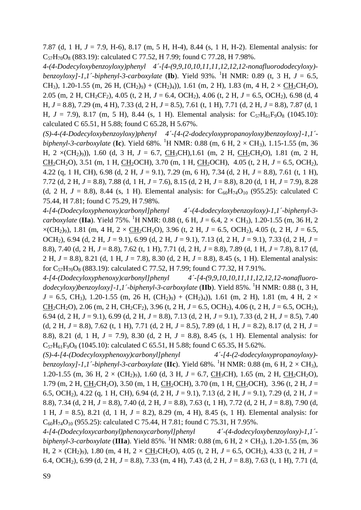7.87 (d, 1 H, *J* = 7.9, H-6), 8.17 (m, 5 H, H-4), 8.44 (s, 1 H, H-2). Elemental analysis: for  $C_{57}H_{70}O_8$  (883.19): calculated C 77.52, H 7.99; found C 77.28, H 7.98%.

*4-(4-Dodecyloxybenzoyloxy)phenyl 4´-[4-(9,9,10,10,11,11,12,12,12-nonafluorododecyloxy) benzoyloxy]-1,1´-biphenyl-3-carboxylate* (**Ib**). Yield 93%. <sup>1</sup>H NMR: 0.89 (t, 3 H, *J* = 6.5, CH<sub>3</sub>), 1.20-1.55 (m, 26 H,  $(CH_2)_9$ ) +  $(CH_2)_4$ )), 1.61 (m, 2 H), 1.83 (m, 4 H, 2  $\times$  CH<sub>2</sub>CH<sub>2</sub>O), 2.05 (m, 2 H, CH2CF2), 4.05 (t, 2 H, *J* = 6.4, OCH2), 4.06 (t, 2 H, *J* = 6.5, OCH2), 6.98 (d, 4 H, *J* = 8.8), 7.29 (m, 4 H), 7.33 (d, 2 H, *J* = 8.5), 7.61 (t, 1 H), 7.71 (d, 2 H, *J* = 8.8), 7.87 (d, 1 H,  $J = 7.9$ ), 8.17 (m, 5 H), 8.44 (s, 1 H). Elemental analysis: for  $C_{57}H_{61}F_9O_8$  (1045.10): calculated C 65.51, H 5.88; found C 65.28, H 5.67%.

*(S)-4-(4-Dodecyloxybenzoyloxy)phenyl 4´-[4-(2-dodecyloxypropanoyloxy)benzoyloxy]-1,1´ biphenyl-3-carboxylate* (Ic). Yield 68%. <sup>1</sup>H NMR: 0.88 (m, 6 H, 2 × CH<sub>3</sub>), 1.15-1.55 (m, 36 H, 2 ×(CH<sub>2</sub>)<sub>9</sub>)), 1.60 (d, 3 H, *J* = 6.7, <u>CH</u><sub>3</sub>CH),1.61 (m, 2 H, <u>CH<sub>2</sub></u>CH<sub>2</sub>O), 1.81 (m, 2 H, CH<sub>2</sub>CH<sub>2</sub>O), 3.51 (m, 1 H, CH<sub>2</sub>OCH), 3.70 (m, 1 H, CH<sub>2</sub>OCH), 4.05 (t, 2 H,  $J = 6.5$ , OCH<sub>2</sub>), 4.22 (q, 1 H, CH), 6.98 (d, 2 H, *J* = 9.1), 7.29 (m, 6 H), 7.34 (d, 2 H, *J* = 8.8), 7.61 (t, 1 H), 7.72 (d, 2 H, *J* = 8.8), 7.88 (d, 1 H, *J* = 7.6), 8.15 (d, 2 H, *J* = 8.8), 8.20 (d, 1 H, *J* = 7.9), 8.28 (d, 2 H,  $J = 8.8$ ), 8.44 (s, 1 H). Elemental analysis: for C<sub>60</sub>H<sub>74</sub>O<sub>10</sub> (955.25): calculated C 75.44, H 7.81; found C 75.29, H 7.98%.

*4-[4-(Dodecyloxyphenoxy)carbonyl]phenyl 4´-(4-dodecyloxybenzoyloxy)-1,1´-biphenyl-3 carboxylate* (IIa). Yield 75%. <sup>1</sup>H NMR: 0.88 (t, 6 H,  $J = 6.4$ ,  $2 \times CH_3$ ), 1.20-1.55 (m, 36 H, 2  $\times$ (CH<sub>2</sub>)<sub>9</sub>), 1.81 (m, 4 H, 2  $\times$  CH<sub>2</sub>CH<sub>2</sub>O), 3.96 (t, 2 H, *J* = 6.5, OCH<sub>2</sub>), 4.05 (t, 2 H, *J* = 6.5, OCH2), 6.94 (d, 2 H, *J* = 9.1), 6.99 (d, 2 H, *J* = 9.1), 7.13 (d, 2 H, *J* = 9.1), 7.33 (d, 2 H, *J* = 8.8), 7.40 (d, 2 H, *J* = 8.8), 7.62 (t, 1 H), 7.71 (d, 2 H, *J* = 8.8), 7.89 (d, 1 H, *J* = 7.8), 8.17 (d, 2 H, *J* = 8.8), 8.21 (d, 1 H, *J* = 7.8), 8.30 (d, 2 H, *J* = 8.8), 8.45 (s, 1 H). Elemental analysis: for  $C_{57}H_{70}O_8$  (883.19): calculated C 77.52, H 7.99; found C 77.32, H 7.91%.

*4-[4-(Dodecyloxyphenoxy)carbonyl]phenyl 4´-[4-(9,9,10,10,11,11,12,12,12-nonafluoro*dodecyloxy)benzoyloxy]-1,1´-biphenyl-3-carboxylate (**IIb**). Yield 85%. <sup>1</sup>H NMR: 0.88 (t, 3 H,  $J = 6.5$ , CH<sub>3</sub>), 1.20-1.55 (m, 26 H, (CH<sub>2</sub>)<sub>9</sub>) + (CH<sub>2</sub>)<sub>4</sub>)), 1.61 (m, 2 H), 1.81 (m, 4 H, 2  $\times$ CH2CH2O), 2.06 (m, 2 H, CH2CF2), 3.96 (t, 2 H, *J* = 6.5, OCH2), 4.06 (t, 2 H, *J* = 6.5, OCH2), 6.94 (d, 2 H, *J* = 9.1), 6.99 (d, 2 H, *J* = 8.8), 7.13 (d, 2 H, *J* = 9.1), 7.33 (d, 2 H, *J* = 8.5), 7.40 (d, 2 H,  $J = 8.8$ ), 7.62 (t, 1 H), 7.71 (d, 2 H,  $J = 8.5$ ), 7.89 (d, 1 H,  $J = 8.2$ ), 8.17 (d, 2 H,  $J =$ 8.8), 8.21 (d, 1 H, *J* = 7.9), 8.30 (d, 2 H, *J* = 8.8), 8.45 (s, 1 H). Elemental analysis: for  $C_{57}H_{61}F_{9}O_8$  (1045.10): calculated C 65.51, H 5.88; found C 65.35, H 5.62%.

*(S)-4-[4-(Dodecyloxyphenoxy)carbonyl]phenyl 4´-[4-(2-dodecyloxypropanoyloxy) benzoyloxy]-1,1´-biphenyl-3-carboxylate* (**IIc**). Yield 68%. <sup>1</sup>H NMR: 0.88 (m, 6 H, 2 × CH3), 1.20-1.55 (m, 36 H,  $2 \times (CH_2)_9$ ), 1.60 (d, 3 H,  $J = 6.7$ , CH<sub>3</sub>CH), 1.65 (m, 2 H, CH<sub>2</sub>CH<sub>2</sub>O), 1.79 (m, 2 H, CH2CH2O), 3.50 (m, 1 H, CH2OCH), 3.70 (m, 1 H, CH2OCH), 3.96 (t, 2 H, *J* = 6.5, OCH2), 4.22 (q, 1 H, CH), 6.94 (d, 2 H, *J* = 9.1), 7.13 (d, 2 H, *J* = 9.1), 7.29 (d, 2 H, *J* = 8.8), 7.34 (d, 2 H, *J* = 8.8), 7.40 (d, 2 H, *J* = 8.8), 7.63 (t, 1 H), 7.72 (d, 2 H, *J* = 8.8), 7.90 (d, 1 H, *J* = 8.5), 8.21 (d, 1 H, *J* = 8.2), 8.29 (m, 4 H), 8.45 (s, 1 H). Elemental analysis: for  $C_{60}H_{74}O_{10}$  (955.25): calculated C 75.44, H 7.81; found C 75.31, H 7.95%.

*4-[4-(Dodecyloxycarbonyl)phenoxycarbonyl]phenyl 4´-(4-dodecyloxybenzoyloxy)-1,1´ biphenyl-3-carboxylate* (IIIa). Yield 85%. <sup>1</sup>H NMR: 0.88 (m, 6 H, 2  $\times$  CH<sub>3</sub>), 1.20-1.55 (m, 36 H,  $2 \times (CH_2)_9$ ), 1.80 (m, 4 H,  $2 \times CH_2CH_2O$ ), 4.05 (t, 2 H,  $J = 6.5$ , OCH<sub>2</sub>), 4.33 (t, 2 H,  $J =$ 6.4, OCH2), 6.99 (d, 2 H, *J* = 8.8), 7.33 (m, 4 H), 7.43 (d, 2 H, *J* = 8.8), 7.63 (t, 1 H), 7.71 (d,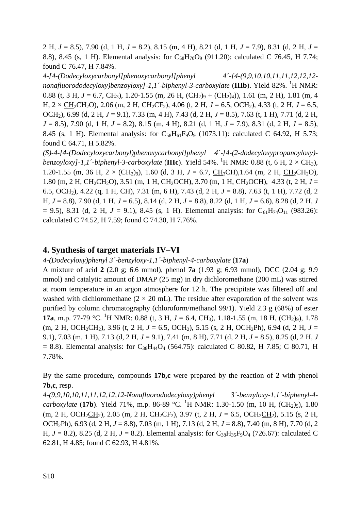2 H, *J* = 8.5), 7.90 (d, 1 H, *J* = 8.2), 8.15 (m, 4 H), 8.21 (d, 1 H, *J* = 7.9), 8.31 (d, 2 H, *J* = 8.8), 8.45 (s, 1 H). Elemental analysis: for  $C_{58}H_{70}O_9$  (911.20): calculated C 76.45, H 7.74; found C 76.47, H 7.84%.

*4-[4-(Dodecyloxycarbonyl]phenoxycarbonyl]phenyl 4´-[4-(9,9,10,10,11,11,12,12,12* nonafluorododecyloxy)benzoyloxy]-1,1´-biphenyl-3-carboxylate (IIIb). Yield 82%. <sup>1</sup>H NMR: 0.88 (t, 3 H,  $J = 6.7$ , CH<sub>3</sub>), 1.20-1.55 (m, 26 H, (CH<sub>2</sub>)<sub>9</sub> + (CH<sub>2</sub>)<sub>4</sub>)), 1.61 (m, 2 H), 1.81 (m, 4 H,  $2 \times CH_2CH_2O$ ), 2.06 (m, 2 H, CH<sub>2</sub>CF<sub>2</sub>), 4.06 (t, 2 H,  $J = 6.5$ , OCH<sub>2</sub>), 4.33 (t, 2 H,  $J = 6.5$ , OCH2), 6.99 (d, 2 H, *J* = 9.1), 7.33 (m, 4 H), 7.43 (d, 2 H, *J* = 8.5), 7.63 (t, 1 H), 7.71 (d, 2 H, *J* = 8.5), 7.90 (d, 1 H, *J* = 8.2), 8.15 (m, 4 H), 8.21 (d, 1 H, *J* = 7.9), 8.31 (d, 2 H, *J* = 8.5), 8.45 (s, 1 H). Elemental analysis: for  $C_{58}H_{61}F_9O_9$  (1073.11): calculated C 64.92, H 5.73; found C 64.71, H 5.82%.

*(S)-4-[4-(Dodecyloxycarbonyl)phenoxycarbonyl]phenyl 4´-[4-(2-dodecyloxypropanoyloxy) benzoyloxy]-1,1´-biphenyl-3-carboxylate* (IIIc). Yield 54%. <sup>1</sup>H NMR: 0.88 (t, 6 H, 2  $\times$  CH<sub>3</sub>), 1.20-1.55 (m, 36 H,  $2 \times (CH_2)_9$ ), 1.60 (d, 3 H,  $J = 6.7$ , CH<sub>3</sub>CH), 1.64 (m, 2 H, CH<sub>2</sub>CH<sub>2</sub>O), 1.80 (m, 2 H, CH2CH2O), 3.51 (m, 1 H, CH2OCH), 3.70 (m, 1 H, CH2OCH), 4.33 (t, 2 H, *J* = 6.5, OCH2), 4.22 (q, 1 H, CH), 7.31 (m, 6 H), 7.43 (d, 2 H, *J* = 8.8), 7.63 (t, 1 H), 7.72 (d, 2 H, *J* = 8.8), 7.90 (d, 1 H, *J* = 6.5), 8.14 (d, 2 H, *J* = 8.8), 8.22 (d, 1 H, *J* = 6.6), 8.28 (d, 2 H, *J*   $= 9.5$ ), 8.31 (d, 2 H,  $J = 9.1$ ), 8.45 (s, 1 H). Elemental analysis: for C<sub>61</sub>H<sub>74</sub>O<sub>11</sub> (983.26): calculated C 74.52, H 7.59; found C 74.30, H 7.76%.

# **4. Synthesis of target materials IV–VI**

*4-(Dodecyloxy)phenyl 3´-benzyloxy-1,1´-biphenyl-4-carboxylate* (**17a**)

A mixture of acid **2** (2.0 g; 6.6 mmol), phenol **7a** (1.93 g; 6.93 mmol), DCC (2.04 g; 9.9 mmol) and catalytic amount of DMAP (25 mg) in dry dichloromethane (200 mL) was stirred at room temperature in an argon atmosphere for 12 h. The precipitate was filtered off and washed with dichloromethane  $(2 \times 20 \text{ mL})$ . The residue after evaporation of the solvent was purified by column chromatography (chloroform/methanol 99/1). Yield 2.3 g (68%) of ester **17a**, m.p. 77-79 °C. <sup>1</sup>H NMR: 0.88 (t, 3 H,  $J = 6.4$ , CH<sub>3</sub>), 1.18-1.55 (m, 18 H, (CH<sub>2</sub>)<sub>9</sub>), 1.78  $(m, 2 H, OCH_2CH_2)$ , 3.96 (t, 2 H,  $J = 6.5$ , OCH<sub>2</sub>), 5.15 (s, 2 H, OCH<sub>2</sub>Ph), 6.94 (d, 2 H,  $J =$ 9.1), 7.03 (m, 1 H), 7.13 (d, 2 H, *J* = 9.1), 7.41 (m, 8 H), 7.71 (d, 2 H, *J* = 8.5), 8.25 (d, 2 H, *J*  $= 8.8$ ). Elemental analysis: for C<sub>38</sub>H<sub>44</sub>O<sub>4</sub> (564.75): calculated C 80.82, H 7.85; C 80.71, H 7.78%.

By the same procedure, compounds **17b,c** were prepared by the reaction of **2** with phenol **7b,c**, resp.

*4-(9,9,10,10,11,11,12,12,12-Nonafluorododecyloxy)phenyl 3´-benzyloxy-1,1´-biphenyl-4 carboxylate* (17b). Yield 71%, m.p. 86-89 °C. <sup>1</sup>H NMR: 1.30-1.50 (m, 10 H, (CH<sub>2</sub>)<sub>5</sub>), 1.80  $(m, 2 H, OCH_2CH_2)$ , 2.05  $(m, 2 H, CH_2CF_2)$ , 3.97  $(t, 2 H, J = 6.5, OCH_2CH_2)$ , 5.15  $(s, 2 H,$ OCH2Ph), 6.93 (d, 2 H, *J* = 8.8), 7.03 (m, 1 H), 7.13 (d, 2 H, *J* = 8.8), 7.40 (m, 8 H), 7.70 (d, 2 H,  $J = 8.2$ ), 8.25 (d, 2 H,  $J = 8.2$ ). Elemental analysis: for C<sub>38</sub>H<sub>35</sub>F<sub>9</sub>O<sub>4</sub> (726.67): calculated C 62.81, H 4.85; found C 62.93, H 4.81%.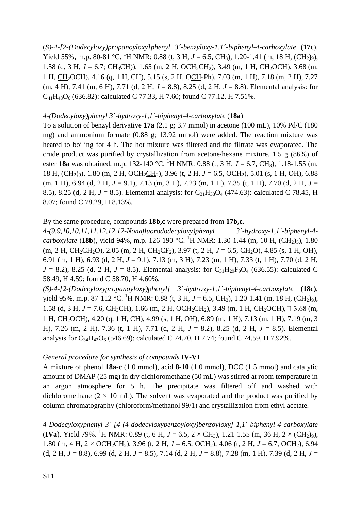(*S)-4-[2-(Dodecyloxy)propanoyloxy]phenyl 3´-benzyloxy-1,1´-biphenyl-4-carboxylate* (**17c**). Yield 55%, m.p. 80-81 °C. <sup>1</sup>H NMR: 0.88 (t, 3 H,  $J = 6.5$ , CH<sub>3</sub>), 1.20-1.41 (m, 18 H, (CH<sub>2</sub>)<sub>9</sub>), 1.58 (d, 3 H,  $J = 6.7$ ; CH<sub>3</sub>CH)), 1.65 (m, 2 H, OCH<sub>2</sub>CH<sub>2</sub>), 3.49 (m, 1 H, CH<sub>2</sub>OCH), 3.68 (m, 1 H, CH2OCH, 4.16 (q, 1 H, CH), 5.15 (s, 2 H, OCH2Ph), 7.03 (m, 1 H), 7.18 (m, 2 H), 7.27 (m, 4 H), 7.41 (m, 6 H), 7.71 (d, 2 H, *J* = 8.8), 8.25 (d, 2 H, *J* = 8.8). Elemental analysis: for  $C_{41}H_{48}O_6$  (636.82): calculated C 77.33, H 7.60; found C 77.12, H 7.51%.

#### *4-(Dodecyloxy)phenyl 3´-hydroxy-1,1´-biphenyl-4-carboxylate* (**18a**)

To a solution of benzyl derivative **17a** (2.1 g; 3.7 mmol) in acetone (100 mL), 10% Pd/C (180 mg) and ammonium formate (0.88 g; 13.92 mmol) were added. The reaction mixture was heated to boiling for 4 h. The hot mixture was filtered and the filtrate was evaporated. The crude product was purified by crystallization from acetone/hexane mixture. 1.5 g (86%) of ester **18a** was obtained, m.p. 132-140 °C. <sup>1</sup>H NMR: 0.88 (t, 3 H, *J* = 6.7, CH<sub>3</sub>), 1.18-1.55 (m, 18 H, (CH2)9), 1.80 (m, 2 H, OCH2CH2), 3.96 (t, 2 H, *J* = 6.5, OCH2), 5.01 (s, 1 H, OH), 6.88  $(m, 1 H)$ , 6.94 (d, 2 H,  $J = 9.1$ ), 7.13 (m, 3 H), 7.23 (m, 1 H), 7.35 (t, 1 H), 7.70 (d, 2 H,  $J =$ 8.5), 8.25 (d, 2 H,  $J = 8.5$ ). Elemental analysis: for C<sub>31</sub>H<sub>38</sub>O<sub>4</sub> (474.63): calculated C 78.45, H 8.07; found C 78.29, H 8.13%.

### By the same procedure, compounds **18b,c** were prepared from **17b,c**.

*4-(9,9,10,10,11,11,12,12,12-Nonafluorododecyloxy)phenyl 3´-hydroxy-1,1´-biphenyl-4 carboxylate* (**18b**), yield 94%, m.p. 126-190 °C. <sup>1</sup>H NMR: 1.30-1.44 (m, 10 H, (CH<sub>2</sub>)<sub>5</sub>), 1.80  $(m, 2 H, CH_2CH_2O), 2.05$   $(m, 2 H, CH_2CF_2), 3.97$   $(t, 2 H, J = 6.5, CH_2O), 4.85$   $(s, 1 H, OH),$ 6.91 (m, 1 H), 6.93 (d, 2 H, *J* = 9.1), 7.13 (m, 3 H), 7.23 (m, 1 H), 7.33 (t, 1 H), 7.70 (d, 2 H,  $J = 8.2$ ), 8.25 (d, 2 H,  $J = 8.5$ ). Elemental analysis: for C<sub>31</sub>H<sub>29</sub>F<sub>9</sub>O<sub>4</sub> (636.55): calculated C 58.49, H 4.59; found C 58.70, H 4.60%.

*(S)-4-[2-(Dodecyloxypropanoyloxy)phenyl] 3´-hydroxy-1,1´-biphenyl-4-carboxylate* **(18c)**, vield 95%, m.p. 87-112 °C. <sup>1</sup>H NMR: 0.88 (t, 3 H,  $J = 6.5$ , CH<sub>3</sub>), 1.20-1.41 (m, 18 H, (CH<sub>2</sub>)<sub>9</sub>), 1.58 (d, 3 H,  $J = 7.6$ , CH<sub>3</sub>CH), 1.66 (m, 2 H, OCH<sub>2</sub>CH<sub>2</sub>), 3.49 (m, 1 H, CH<sub>2</sub>OCH),  $\Box$  3.68 (m, 1 H, CH2OCH, 4.20 (q, 1 H, CH), 4.99 (s, 1 H, OH), 6.89 (m, 1 H), 7.13 (m, 1 H), 7.19 (m, 3 H), 7.26 (m, 2 H), 7.36 (t, 1 H), 7.71 (d, 2 H, *J* = 8.2), 8.25 (d, 2 H, *J* = 8.5). Elemental analysis for  $C_{34}H_{42}O_6$  (546.69): calculated C 74.70, H 7.74; found C 74.59, H 7.92%.

#### *General procedure for synthesis of compounds* **IV-VI**

A mixture of phenol **18a-c** (1.0 mmol), acid **8-10** (1.0 mmol), DCC (1.5 mmol) and catalytic amount of DMAP (25 mg) in dry dichloromethane (50 mL) was stirred at room temperature in an argon atmosphere for 5 h. The precipitate was filtered off and washed with dichloromethane  $(2 \times 10 \text{ mL})$ . The solvent was evaporated and the product was purified by column chromatography (chloroform/methanol 99/1) and crystallization from ethyl acetate.

*4-Dodecyloxyphenyl 3´-[4-(4-dodecyloxybenzoyloxy)benzoyloxy]-1,1´-biphenyl-4-carboxylate* **(IVa)**. Yield 79%. <sup>1</sup>H NMR: 0.89 (t, 6 H,  $J = 6.5$ ,  $2 \times CH_3$ ), 1.21-1.55 (m, 36 H,  $2 \times (CH_2)_9$ ), 1.80 (m, 4 H,  $2 \times \text{OCH}_2\text{CH}_2$ ), 3.96 (t, 2 H,  $J = 6.5$ , OCH<sub>2</sub>), 4.06 (t, 2 H,  $J = 6.7$ , OCH<sub>2</sub>), 6.94 (d, 2 H,  $J = 8.8$ ), 6.99 (d, 2 H,  $J = 8.5$ ), 7.14 (d, 2 H,  $J = 8.8$ ), 7.28 (m, 1 H), 7.39 (d, 2 H,  $J =$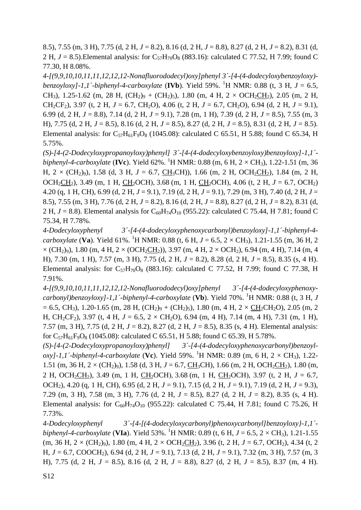8.5), 7.55 (m, 3 H), 7.75 (d, 2 H, *J* = 8.2), 8.16 (d, 2 H, *J* = 8.8), 8.27 (d, 2 H, *J* = 8.2), 8.31 (d, 2 H,  $J = 8.5$ ). Elemental analysis: for  $C_{57}H_{70}O_8$  (883.16): calculated C 77.52, H 7.99; found C 77.30, H 8.08%.

*4-[(9,9,10,10,11,11,12,12,12-Nonafluorododecyl)oxy]phenyl 3´-[4-(4-dodecyloxybenzoyloxy) benzoyloxy]-1,1´-biphenyl-4-carboxylate* (**IVb**). Yield 59%. <sup>1</sup>H NMR: 0.88 (t, 3 H, *J* = 6.5, CH<sub>3</sub>), 1.25-1.62 (m, 28 H, (CH<sub>2</sub>)<sub>9</sub> + (CH<sub>2</sub>)<sub>5</sub>), 1.80 (m, 4 H, 2  $\times$  OCH<sub>2</sub>CH<sub>2</sub>), 2.05 (m, 2 H, CH<sub>2</sub>CF<sub>2</sub>), 3.97 (t, 2 H,  $J = 6.7$ , CH<sub>2</sub>O), 4.06 (t, 2 H,  $J = 6.7$ , CH<sub>2</sub>O), 6.94 (d, 2 H,  $J = 9.1$ ), 6.99 (d, 2 H, *J* = 8.8), 7.14 (d, 2 H, *J* = 9.1), 7.28 (m, 1 H), 7.39 (d, 2 H, *J* = 8.5), 7.55 (m, 3 H), 7.75 (d, 2 H, *J* = 8.5), 8.16 (d, 2 H, *J* = 8.5), 8.27 (d, 2 H, *J* = 8.5), 8.31 (d, 2 H, *J* = 8.5). Elemental analysis: for  $C_{57}H_{61}F_9O_8$  (1045.08): calculated C 65.51, H 5.88; found C 65.34, H 5.75%.

*(S)-[4-(2-Dodecyloxypropanoyloxy)phenyl] 3´-[4-(4-dodecyloxybenzoyloxy)benzoyloxy]-1,1´*  $biphenyl-4-carboxylate (IVe)$ . Yield 62%. <sup>1</sup>H NMR: 0.88 (m, 6 H, 2  $\times$  CH<sub>3</sub>), 1.22-1.51 (m, 36 H,  $2 \times (CH_2)_9$ , 1.58 (d, 3 H,  $J = 6.7$ , CH<sub>3</sub>CH)), 1.66 (m, 2 H, OCH<sub>2</sub>CH<sub>2</sub>), 1.84 (m, 2 H, OCH<sub>2</sub>CH<sub>2</sub>), 3.49 (m, 1 H, CH<sub>2</sub>OCH), 3.68 (m, 1 H, CH<sub>2</sub>OCH), 4.06 (t, 2 H,  $J = 6.7$ , OCH<sub>2</sub>) 4.20 (q, 1 H, CH), 6.99 (d, 2 H, *J* = 9.1), 7.19 (d, 2 H, *J* = 9.1), 7.29 (m, 3 H), 7.40 (d, 2 H, *J* = 8.5), 7.55 (m, 3 H), 7.76 (d, 2 H, *J* = 8.2), 8.16 (d, 2 H, *J* = 8.8), 8.27 (d, 2 H, *J* = 8.2), 8.31 (d, 2 H,  $J = 8.8$ ). Elemental analysis for C<sub>60</sub>H<sub>74</sub>O<sub>10</sub> (955.22): calculated C 75.44, H 7.81; found C 75.34, H 7.78%.

*4-Dodecyloxyphenyl 3´-[4-(4-dodecyloxyphenoxycarbonyl)benzoyloxy]-1,1´-biphenyl-4 carboxylate* (Va). Yield 61%. <sup>1</sup>H NMR: 0.88 (t, 6 H,  $J = 6.5$ ,  $2 \times CH_3$ ), 1.21-1.55 (m, 36 H, 2  $\times$  (CH<sub>2</sub>)<sub>9</sub>), 1.80 (m, 4 H, 2  $\times$  (OCH<sub>2</sub>CH<sub>2</sub>)), 3.97 (m, 4 H, 2  $\times$  OCH<sub>2</sub>), 6.94 (m, 4 H), 7.14 (m, 4 H), 7.30 (m, 1 H), 7.57 (m, 3 H), 7.75 (d, 2 H, *J* = 8.2), 8.28 (d, 2 H, *J* = 8.5), 8.35 (s, 4 H). Elemental analysis: for  $C_{57}H_{70}O_8$  (883.16): calculated C 77.52, H 7.99; found C 77.38, H 7.91%.

*4-[(9,9,10,10,11,11,12,12,12-Nonafluorododecyl)oxy]phenyl 3´-[4-(4-dodecyloxyphenoxycarbonyl)benzoyloxy]-1,1´-biphenyl-4-carboxylate* (**Vb**). Yield 70%. <sup>1</sup>H NMR: 0.88 (t, 3 H, *J*  $= 6.5$ , CH<sub>3</sub>), 1.20-1.65 (m, 28 H, (CH<sub>2</sub>)<sub>9</sub> + (CH<sub>2</sub>)<sub>5</sub>), 1.80 (m, 4 H, 2 × CH<sub>2</sub>CH<sub>2</sub>O), 2.05 (m, 2 H, CH<sub>2</sub>CF<sub>2</sub>), 3.97 (t, 4 H,  $J = 6.5$ ,  $2 \times$  CH<sub>2</sub>O), 6.94 (m, 4 H), 7.14 (m, 4 H), 7.31 (m, 1 H), 7.57 (m, 3 H), 7.75 (d, 2 H, *J* = 8.2), 8.27 (d, 2 H, *J* = 8.5), 8.35 (s, 4 H). Elemental analysis: for  $C_{57}H_{61}F_9O_8$  (1045.08): calculated C 65.51, H 5.88; found C 65.39, H 5.78%.

*(S)-[4-(2-Dodecyloxypropanoyloxy)phenyl] 3´-[4-(4-dodecyloxyphenoxycarbonyl)benzoyloxy]-1,1´-biphenyl-4-carboxylate* (Vc). Yield 59%. <sup>1</sup>H NMR: 0.89 (m, 6 H, 2  $\times$  CH<sub>3</sub>), 1.22-1.51 (m, 36 H,  $2 \times (CH_2)_9$ ), 1.58 (d, 3 H,  $J = 6.7$ , CH<sub>3</sub>CH), 1.66 (m, 2 H, OCH<sub>2</sub>CH<sub>2</sub>), 1.80 (m, 2 H, OCH<sub>2</sub>CH<sub>2</sub>), 3.49 (m, 1 H, CH<sub>2</sub>OCH), 3.68 (m, 1 H, CH<sub>2</sub>OCH), 3.97 (t, 2 H,  $J = 6.7$ , OCH2), 4.20 (q, 1 H, CH), 6.95 (d, 2 H, *J* = 9.1), 7.15 (d, 2 H, *J* = 9.1), 7.19 (d, 2 H, *J* = 9.3), 7.29 (m, 3 H), 7.58 (m, 3 H), 7.76 (d, 2 H, *J* = 8.5), 8.27 (d, 2 H, *J* = 8.2), 8.35 (s, 4 H). Elemental analysis: for  $C_{60}H_{74}O_{10}$  (955.22): calculated C 75.44, H 7.81; found C 75.26, H 7.73%.

*4-Dodecyloxyphenyl 3´-{4-[(4-dodecyloxycarbonyl)phenoxycarbonyl]benzoyloxy}-1,1´ biphenyl-4-carboxylate* (VIa). Yield 53%. <sup>1</sup>H NMR: 0.89 (t, 6 H,  $J = 6.5$ , 2  $\times$  CH<sub>3</sub>), 1.21-1.55  $(m, 36 \text{ H}, 2 \times (\text{CH}_2)_9)$ , 1.80  $(m, 4 \text{ H}, 2 \times \text{OCH}_2\text{CH}_2)$ , 3.96  $(t, 2 \text{ H}, J = 6.7, \text{OCH}_2)$ , 4.34  $(t, 2 \text{ H})$ H, *J* = 6.7, COOCH2), 6.94 (d, 2 H, *J* = 9.1), 7.13 (d, 2 H, *J* = 9.1), 7.32 (m, 3 H), 7.57 (m, 3 H), 7.75 (d, 2 H, *J* = 8.5), 8.16 (d, 2 H, *J* = 8.8), 8.27 (d, 2 H, *J* = 8.5), 8.37 (m, 4 H).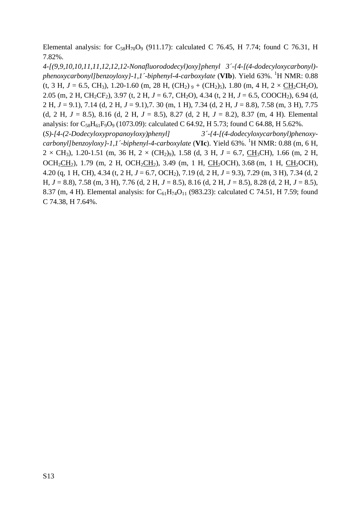Elemental analysis: for  $C_{58}H_{70}O_9$  (911.17): calculated C 76.45, H 7.74; found C 76.31, H 7.82%.

*4-[(9,9,10,10,11,11,12,12,12-Nonafluorododecyl)oxy]phenyl 3´-{4-[(4-dodecyloxycarbonyl)* phenoxycarbonyl]benzoyloxy}-1,1´-biphenyl-4-carboxylate (**VIb**). Yield 63%. <sup>1</sup>H NMR: 0.88 (t, 3 H,  $J = 6.5$ , CH<sub>3</sub>), 1.20-1.60 (m, 28 H, (CH<sub>2</sub>)  $_9 + (CH_2)_5$ ), 1.80 (m, 4 H, 2  $\times$  CH<sub>2</sub>CH<sub>2</sub>O), 2.05 (m, 2 H, CH<sub>2</sub>CF<sub>2</sub>), 3.97 (t, 2 H, *J* = 6.7, CH<sub>2</sub>O), 4.34 (t, 2 H, *J* = 6.5, COOCH<sub>2</sub>), 6.94 (d, 2 H, *J* = 9.1), 7.14 (d, 2 H, *J* = 9.1),7. 30 (m, 1 H), 7.34 (d, 2 H, *J* = 8.8), 7.58 (m, 3 H), 7.75 (d, 2 H, *J* = 8.5), 8.16 (d, 2 H, *J* = 8.5), 8.27 (d, 2 H, *J* = 8.2), 8.37 (m, 4 H). Elemental analysis: for  $C_{58}H_{61}F_9O_9$  (1073.09): calculated C 64.92, H 5.73; found C 64.88, H 5.62%. (*S)-[4-(2-Dodecyloxypropanoyloxy)phenyl] 3´-{4-[(4-dodecyloxycarbonyl)phenoxycarbonyl]benzoyloxy}-1,1´-biphenyl-4-carboxylate* (**VIc**). Yield 63%. <sup>1</sup>H NMR: 0.88 (m, 6 H,  $2 \times CH_3$ ), 1.20-1.51 (m, 36 H,  $2 \times (CH_2)_{9}$ ), 1.58 (d, 3 H,  $J = 6.7$ , CH<sub>3</sub>CH), 1.66 (m, 2 H, OCH<sub>2</sub>CH<sub>2</sub>), 1.79 (m, 2 H, OCH<sub>2</sub>CH<sub>2</sub>), 3.49 (m, 1 H, CH<sub>2</sub>OCH), 3.68 (m, 1 H, CH<sub>2</sub>OCH), 4.20 (q, 1 H, CH), 4.34 (t, 2 H, *J* = 6.7, OCH2), 7.19 (d, 2 H, *J* = 9.3), 7.29 (m, 3 H), 7.34 (d, 2 H, *J* = 8.8), 7.58 (m, 3 H), 7.76 (d, 2 H, *J* = 8.5), 8.16 (d, 2 H, *J* = 8.5), 8.28 (d, 2 H, *J* = 8.5), 8.37 (m, 4 H). Elemental analysis: for  $C_{61}H_{74}O_{11}$  (983.23): calculated C 74.51, H 7.59; found C 74.38, H 7.64%.